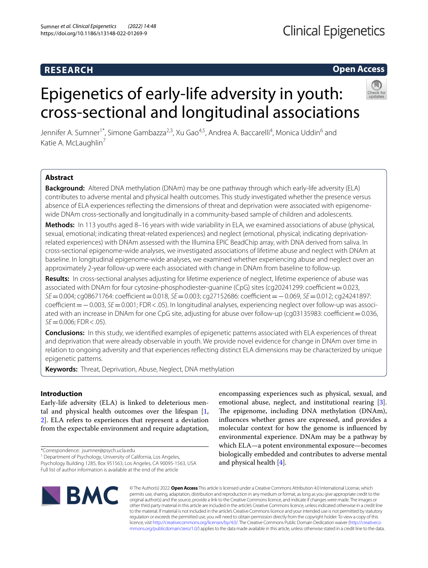# **RESEARCH**

# **Open Access**

# Epigenetics of early-life adversity in youth: cross-sectional and longitudinal associations

Jennifer A. Sumner<sup>1\*</sup>, Simone Gambazza<sup>2,3</sup>, Xu Gao<sup>4,5</sup>, Andrea A. Baccarelli<sup>4</sup>, Monica Uddin<sup>6</sup> and Katie A. McLaughlin<sup>7</sup>

# **Abstract**

**Background:** Altered DNA methylation (DNAm) may be one pathway through which early-life adversity (ELA) contributes to adverse mental and physical health outcomes. This study investigated whether the presence versus absence of ELA experiences refecting the dimensions of threat and deprivation were associated with epigenomewide DNAm cross-sectionally and longitudinally in a community-based sample of children and adolescents.

**Methods:** In 113 youths aged 8–16 years with wide variability in ELA, we examined associations of abuse (physical, sexual, emotional; indicating threat-related experiences) and neglect (emotional, physical; indicating deprivationrelated experiences) with DNAm assessed with the Illumina EPIC BeadChip array, with DNA derived from saliva. In cross-sectional epigenome-wide analyses, we investigated associations of lifetime abuse and neglect with DNAm at baseline. In longitudinal epigenome-wide analyses, we examined whether experiencing abuse and neglect over an approximately 2-year follow-up were each associated with change in DNAm from baseline to follow-up.

**Results:** In cross-sectional analyses adjusting for lifetime experience of neglect, lifetime experience of abuse was associated with DNAm for four cytosine-phosphodiester-guanine (CpG) sites (cg20241299: coefficient=0.023, *SE*=0.004; cg08671764: coefficient=0.018, *SE*=0.003; cg27152686: coefficient=−0.069, *SE*=0.012; cg24241897: coefficient =  $-$ 0.003, *SE* = 0.001; FDR < .05). In longitudinal analyses, experiencing neglect over follow-up was associated with an increase in DNAm for one CpG site, adjusting for abuse over follow-up (cg03135983: coefficient = 0.036,  $SE = 0.006$ ; FDR < .05).

**Conclusions:** In this study, we identifed examples of epigenetic patterns associated with ELA experiences of threat and deprivation that were already observable in youth. We provide novel evidence for change in DNAm over time in relation to ongoing adversity and that experiences refecting distinct ELA dimensions may be characterized by unique epigenetic patterns.

**Keywords:** Threat, Deprivation, Abuse, Neglect, DNA methylation

## **Introduction**

Early-life adversity (ELA) is linked to deleterious mental and physical health outcomes over the lifespan [\[1](#page-9-0), [2\]](#page-9-1). ELA refers to experiences that represent a deviation from the expectable environment and require adaptation,

\*Correspondence: jsumner@psych.ucla.edu

<sup>1</sup> Department of Psychology, University of California, Los Angeles, Psychology Building 1285, Box 951563, Los Angeles, CA 90095-1563, USA Full list of author information is available at the end of the article

encompassing experiences such as physical, sexual, and emotional abuse, neglect, and institutional rearing [\[3](#page-9-2)]. The epigenome, including DNA methylation (DNAm), infuences whether genes are expressed, and provides a molecular context for how the genome is infuenced by environmental experience. DNAm may be a pathway by which ELA—a potent environmental exposure—becomes biologically embedded and contributes to adverse mental and physical health [[4\]](#page-9-3).



© The Author(s) 2022. **Open Access** This article is licensed under a Creative Commons Attribution 4.0 International License, which permits use, sharing, adaptation, distribution and reproduction in any medium or format, as long as you give appropriate credit to the original author(s) and the source, provide a link to the Creative Commons licence, and indicate if changes were made. The images or other third party material in this article are included in the article's Creative Commons licence, unless indicated otherwise in a credit line to the material. If material is not included in the article's Creative Commons licence and your intended use is not permitted by statutory regulation or exceeds the permitted use, you will need to obtain permission directly from the copyright holder. To view a copy of this licence, visit [http://creativecommons.org/licenses/by/4.0/.](http://creativecommons.org/licenses/by/4.0/) The Creative Commons Public Domain Dedication waiver ([http://creativeco](http://creativecommons.org/publicdomain/zero/1.0/) [mmons.org/publicdomain/zero/1.0/](http://creativecommons.org/publicdomain/zero/1.0/)) applies to the data made available in this article, unless otherwise stated in a credit line to the data.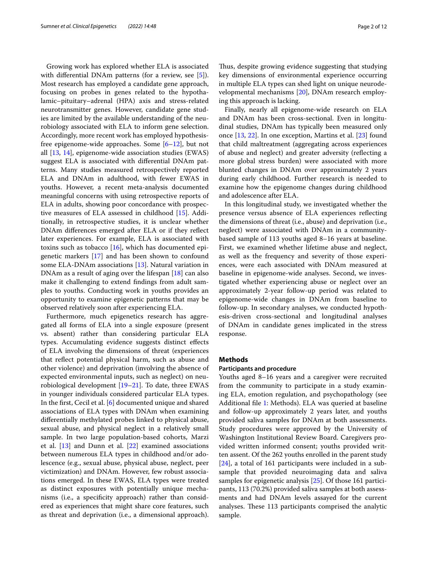Growing work has explored whether ELA is associated with differential DNAm patterns (for a review, see [\[5\]](#page-9-4)). Most research has employed a candidate gene approach, focusing on probes in genes related to the hypothalamic–pituitary–adrenal (HPA) axis and stress-related neurotransmitter genes. However, candidate gene studies are limited by the available understanding of the neurobiology associated with ELA to inform gene selection. Accordingly, more recent work has employed hypothesisfree epigenome-wide approaches. Some [[6–](#page-9-5)[12](#page-9-6)], but not all [[13](#page-9-7), [14\]](#page-9-8), epigenome-wide association studies (EWAS) suggest ELA is associated with diferential DNAm patterns. Many studies measured retrospectively reported ELA and DNAm in adulthood, with fewer EWAS in youths. However, a recent meta-analysis documented meaningful concerns with using retrospective reports of ELA in adults, showing poor concordance with prospective measures of ELA assessed in childhood [\[15](#page-9-9)]. Additionally, in retrospective studies, it is unclear whether DNAm diferences emerged after ELA or if they refect later experiences. For example, ELA is associated with toxins such as tobacco  $[16]$  $[16]$  $[16]$ , which has documented epigenetic markers [[17](#page-9-11)] and has been shown to confound some ELA-DNAm associations [\[13](#page-9-7)]. Natural variation in DNAm as a result of aging over the lifespan [[18\]](#page-9-12) can also make it challenging to extend fndings from adult samples to youths. Conducting work in youths provides an opportunity to examine epigenetic patterns that may be observed relatively soon after experiencing ELA.

Furthermore, much epigenetics research has aggregated all forms of ELA into a single exposure (present vs. absent) rather than considering particular ELA types. Accumulating evidence suggests distinct efects of ELA involving the dimensions of threat (experiences that refect potential physical harm, such as abuse and other violence) and deprivation (involving the absence of expected environmental inputs, such as neglect) on neurobiological development [[19–](#page-9-13)[21\]](#page-9-14). To date, three EWAS in younger individuals considered particular ELA types. In the frst, Cecil et al. [\[6](#page-9-5)] documented unique and shared associations of ELA types with DNAm when examining diferentially methylated probes linked to physical abuse, sexual abuse, and physical neglect in a relatively small sample. In two large population-based cohorts, Marzi et al.  $[13]$  $[13]$  and Dunn et al.  $[22]$  $[22]$  $[22]$  examined associations between numerous ELA types in childhood and/or adolescence (e.g., sexual abuse, physical abuse, neglect, peer victimization) and DNAm. However, few robust associations emerged. In these EWAS, ELA types were treated as distinct exposures with potentially unique mechanisms (i.e., a specifcity approach) rather than considered as experiences that might share core features, such as threat and deprivation (i.e., a dimensional approach).

Thus, despite growing evidence suggesting that studying key dimensions of environmental experience occurring in multiple ELA types can shed light on unique neurodevelopmental mechanisms [[20](#page-9-16)], DNAm research employing this approach is lacking.

Finally, nearly all epigenome-wide research on ELA and DNAm has been cross-sectional. Even in longitudinal studies, DNAm has typically been measured only once [\[13](#page-9-7), [22\]](#page-9-15). In one exception, Martins et al. [[23](#page-9-17)] found that child maltreatment (aggregating across experiences of abuse and neglect) and greater adversity (refecting a more global stress burden) were associated with more blunted changes in DNAm over approximately 2 years during early childhood. Further research is needed to examine how the epigenome changes during childhood and adolescence after ELA.

In this longitudinal study, we investigated whether the presence versus absence of ELA experiences refecting the dimensions of threat (i.e., abuse) and deprivation (i.e., neglect) were associated with DNAm in a communitybased sample of 113 youths aged 8–16 years at baseline. First, we examined whether lifetime abuse and neglect, as well as the frequency and severity of those experiences, were each associated with DNAm measured at baseline in epigenome-wide analyses. Second, we investigated whether experiencing abuse or neglect over an approximately 2-year follow-up period was related to epigenome-wide changes in DNAm from baseline to follow-up. In secondary analyses, we conducted hypothesis-driven cross-sectional and longitudinal analyses of DNAm in candidate genes implicated in the stress response.

#### **Methods**

#### **Participants and procedure**

Youths aged 8–16 years and a caregiver were recruited from the community to participate in a study examining ELA, emotion regulation, and psychopathology (see Additional fle [1](#page-8-0): Methods). ELA was queried at baseline and follow-up approximately 2 years later, and youths provided saliva samples for DNAm at both assessments. Study procedures were approved by the University of Washington Institutional Review Board. Caregivers provided written informed consent; youths provided written assent. Of the 262 youths enrolled in the parent study [[24\]](#page-9-18), a total of 161 participants were included in a subsample that provided neuroimaging data and saliva samples for epigenetic analysis [[25\]](#page-9-19). Of those 161 participants, 113 (70.2%) provided saliva samples at both assessments and had DNAm levels assayed for the current analyses. These 113 participants comprised the analytic sample.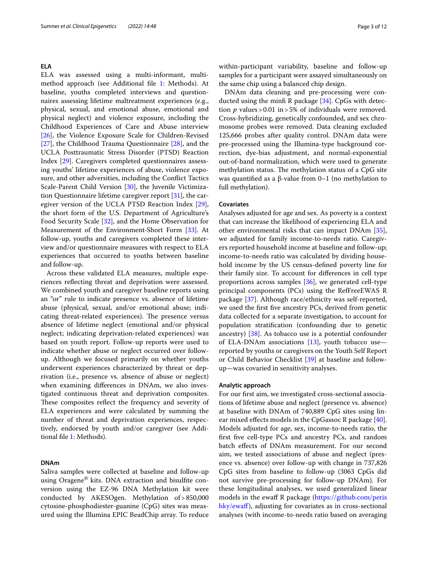#### **ELA**

ELA was assessed using a multi-informant, multimethod approach (see Additional fle [1:](#page-8-0) Methods). At baseline, youths completed interviews and questionnaires assessing lifetime maltreatment experiences (e.g., physical, sexual, and emotional abuse, emotional and physical neglect) and violence exposure, including the Childhood Experiences of Care and Abuse interview [[26\]](#page-9-20), the Violence Exposure Scale for Children-Revised [[27\]](#page-9-21), the Childhood Trauma Questionnaire [[28\]](#page-9-22), and the UCLA Posttraumatic Stress Disorder (PTSD) Reaction Index [[29](#page-9-23)]. Caregivers completed questionnaires assessing youths' lifetime experiences of abuse, violence exposure, and other adversities, including the Confict Tactics Scale-Parent Child Version [\[30](#page-9-24)], the Juvenile Victimization Questionnaire lifetime caregiver report [\[31](#page-9-25)], the caregiver version of the UCLA PTSD Reaction Index [\[29](#page-9-23)], the short form of the U.S. Department of Agriculture's Food Security Scale [\[32](#page-10-0)], and the Home Observation for Measurement of the Environment-Short Form [[33\]](#page-10-1). At follow-up, youths and caregivers completed these interview and/or questionnaire measures with respect to ELA experiences that occurred to youths between baseline and follow-up.

Across these validated ELA measures, multiple experiences refecting threat and deprivation were assessed. We combined youth and caregiver baseline reports using an "or" rule to indicate presence vs. absence of lifetime abuse (physical, sexual, and/or emotional abuse; indicating threat-related experiences). The presence versus absence of lifetime neglect (emotional and/or physical neglect; indicating deprivation-related experiences) was based on youth report. Follow-up reports were used to indicate whether abuse or neglect occurred over followup. Although we focused primarily on whether youths underwent experiences characterized by threat or deprivation (i.e., presence vs. absence of abuse or neglect) when examining diferences in DNAm, we also investigated continuous threat and deprivation composites. These composites reflect the frequency and severity of ELA experiences and were calculated by summing the number of threat and deprivation experiences, respectively, endorsed by youth and/or caregiver (see Additional fle [1](#page-8-0): Methods).

#### **DNAm**

Saliva samples were collected at baseline and follow-up using Oragene® kits. DNA extraction and bisulfte conversion using the EZ-96 DNA Methylation kit were conducted by AKESOgen. Methylation of>850,000 cytosine-phosphodiester-guanine (CpG) sites was measured using the Illumina EPIC BeadChip array. To reduce within-participant variability, baseline and follow-up samples for a participant were assayed simultaneously on the same chip using a balanced chip design.

DNAm data cleaning and pre-processing were conducted using the minf R package [\[34](#page-10-2)]. CpGs with detection  $p$  values > 0.01 in > 5% of individuals were removed. Cross-hybridizing, genetically confounded, and sex chromosome probes were removed. Data cleaning excluded 125,666 probes after quality control. DNAm data were pre-processed using the Illumina-type background correction, dye-bias adjustment, and normal-exponential out-of-band normalization, which were used to generate methylation status. The methylation status of a CpG site was quantifed as a β-value from 0–1 (no methylation to full methylation).

#### **Covariates**

Analyses adjusted for age and sex. As poverty is a context that can increase the likelihood of experiencing ELA and other environmental risks that can impact DNAm [\[35](#page-10-3)], we adjusted for family income-to-needs ratio. Caregivers reported household income at baseline and follow-up; income-to-needs ratio was calculated by dividing household income by the US census-defned poverty line for their family size. To account for diferences in cell type proportions across samples [[36](#page-10-4)], we generated cell-type principal components (PCs) using the RefFreeEWAS R package [[37\]](#page-10-5). Although race/ethnicity was self-reported, we used the frst fve ancestry PCs, derived from genetic data collected for a separate investigation, to account for population stratifcation (confounding due to genetic ancestry) [[38\]](#page-10-6). As tobacco use is a potential confounder of ELA-DNAm associations [\[13\]](#page-9-7), youth tobacco use reported by youths or caregivers on the Youth Self Report or Child Behavior Checklist [\[39](#page-10-7)] at baseline and followup—was covaried in sensitivity analyses.

#### **Analytic approach**

For our frst aim, we investigated cross-sectional associations of lifetime abuse and neglect (presence vs. absence) at baseline with DNAm of 740,889 CpG sites using lin-ear mixed effects models in the CpGassoc R package [\[40](#page-10-8)]. Models adjusted for age, sex, income-to-needs ratio, the frst fve cell-type PCs and ancestry PCs, and random batch effects of DNAm measurement. For our second aim, we tested associations of abuse and neglect (presence vs. absence) over follow-up with change in 737,826 CpG sites from baseline to follow-up (3063 CpGs did not survive pre-processing for follow-up DNAm). For these longitudinal analyses, we used generalized linear models in the ewaff R package [\(https://github.com/peris](https://github.com/perishky/ewaff) [hky/ewaf](https://github.com/perishky/ewaff)f), adjusting for covariates as in cross-sectional analyses (with income-to-needs ratio based on averaging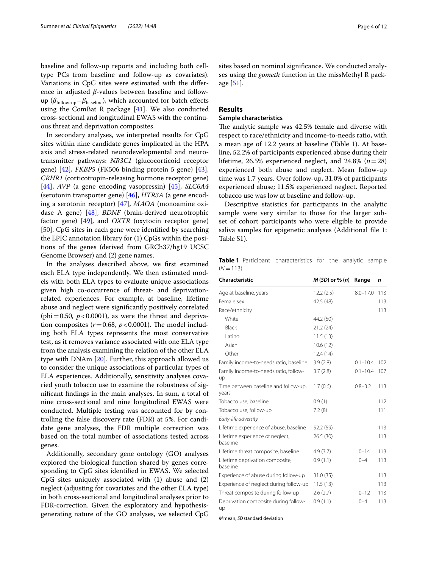baseline and follow-up reports and including both celltype PCs from baseline and follow-up as covariates). Variations in CpG sites were estimated with the diference in adjusted *β*-values between baseline and followup (*β*<sub>follow-up</sub>–*β*<sub>baseline</sub>), which accounted for batch effects using the ComBat R package [\[41](#page-10-9)]. We also conducted cross-sectional and longitudinal EWAS with the continuous threat and deprivation composites.

In secondary analyses, we interpreted results for CpG sites within nine candidate genes implicated in the HPA axis and stress-related neurodevelopmental and neurotransmitter pathways: *NR3C1* (glucocorticoid receptor gene) [[42\]](#page-10-10), *FKBP5* (FK506 binding protein 5 gene) [\[43](#page-10-11)], *CRHR1* (corticotropin-releasing hormone receptor gene) [[44\]](#page-10-12), *AVP* (a gene encoding vasopressin) [[45\]](#page-10-13), *SLC6A4* (serotonin transporter gene) [[46](#page-10-14)], *HTR3A* (a gene encoding a serotonin receptor) [\[47\]](#page-10-15), *MAOA* (monoamine oxidase A gene) [\[48\]](#page-10-16), *BDNF* (brain-derived neurotrophic factor gene) [[49](#page-10-17)], and *OXTR* (oxytocin receptor gene) [[50\]](#page-10-18). CpG sites in each gene were identifed by searching the EPIC annotation library for (1) CpGs within the positions of the genes (derived from GRCh37/hg19 UCSC Genome Browser) and (2) gene names.

In the analyses described above, we frst examined each ELA type independently. We then estimated models with both ELA types to evaluate unique associations given high co-occurrence of threat- and deprivationrelated experiences. For example, at baseline, lifetime abuse and neglect were signifcantly positively correlated (phi=0.50,  $p < 0.0001$ ), as were the threat and deprivation composites  $(r=0.68, p<0.0001)$ . The model including both ELA types represents the most conservative test, as it removes variance associated with one ELA type from the analysis examining the relation of the other ELA type with DNAm [[20](#page-9-16)]. Further, this approach allowed us to consider the unique associations of particular types of ELA experiences. Additionally, sensitivity analyses covaried youth tobacco use to examine the robustness of signifcant fndings in the main analyses. In sum, a total of nine cross-sectional and nine longitudinal EWAS were conducted. Multiple testing was accounted for by controlling the false discovery rate (FDR) at 5%. For candidate gene analyses, the FDR multiple correction was based on the total number of associations tested across genes.

Additionally, secondary gene ontology (GO) analyses explored the biological function shared by genes corresponding to CpG sites identifed in EWAS. We selected CpG sites uniquely associated with (1) abuse and (2) neglect (adjusting for covariates and the other ELA type) in both cross-sectional and longitudinal analyses prior to FDR-correction. Given the exploratory and hypothesisgenerating nature of the GO analyses, we selected CpG sites based on nominal signifcance. We conducted analyses using the *gometh* function in the missMethyl R package [[51\]](#page-10-19).

### **Results**

#### **Sample characteristics**

The analytic sample was 42.5% female and diverse with respect to race/ethnicity and income-to-needs ratio, with a mean age of 12.2 years at baseline (Table [1](#page-3-0)). At baseline, 52.2% of participants experienced abuse during their lifetime, 26.5% experienced neglect, and 24.8%  $(n=28)$ experienced both abuse and neglect. Mean follow-up time was 1.7 years. Over follow-up, 31.0% of participants experienced abuse; 11.5% experienced neglect. Reported tobacco use was low at baseline and follow-up.

Descriptive statistics for participants in the analytic sample were very similar to those for the larger subset of cohort participants who were eligible to provide saliva samples for epigenetic analyses (Additional file [1](#page-8-0): Table S1).

<span id="page-3-0"></span>**Table 1** Participant characteristics for the analytic sample  $(N=113)$ 

| <b>Characteristic</b>                         | $M(SD)$ or % $(n)$ | Range        | n   |
|-----------------------------------------------|--------------------|--------------|-----|
| Age at baseline, years                        | 12.2(2.5)          | $8.0 - 17.0$ | 113 |
| Female sex                                    | 42.5 (48)          |              | 113 |
| Race/ethnicity                                |                    |              | 113 |
| White                                         | 44.2 (50)          |              |     |
| <b>Black</b>                                  | 21.2(24)           |              |     |
| Latino                                        | 11.5(13)           |              |     |
| Asian                                         | 10.6(12)           |              |     |
| Other                                         | 12.4(14)           |              |     |
| Family income-to-needs ratio, baseline        | 3.9(2.8)           | $0.1 - 10.4$ | 102 |
| Family income-to-needs ratio, follow-<br>up   | 3.7(2.8)           | $0.1 - 10.4$ | 107 |
| Time between baseline and follow-up,<br>years | 1.7(0.6)           | $0.8 - 3.2$  | 113 |
| Tobacco use, baseline                         | 0.9(1)             |              | 112 |
| Tobacco use, follow-up                        | 7.2(8)             |              | 111 |
| Early-life adversity                          |                    |              |     |
| Lifetime experience of abuse, baseline        | 52.2 (59)          |              | 113 |
| Lifetime experience of neglect,<br>baseline   | 26.5 (30)          |              | 113 |
| Lifetime threat composite, baseline           | 4.9(3.7)           | $0 - 14$     | 113 |
| Lifetime deprivation composite,<br>baseline   | 0.9(1.1)           | $0 - 4$      | 113 |
| Experience of abuse during follow-up          | 31.0 (35)          |              | 113 |
| Experience of neglect during follow-up        | 11.5(13)           |              | 113 |
| Threat composite during follow-up             | 2.6(2.7)           | $0 - 12$     | 113 |
| Deprivation composite during follow-<br>up    | 0.9(1.1)           | $0 - 4$      | 113 |

*M*mean, *SD*standard deviation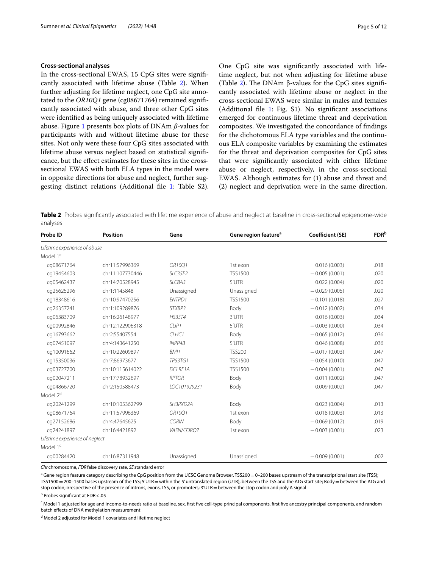#### **Cross‑sectional analyses**

In the cross-sectional EWAS, 15 CpG sites were signifcantly associated with lifetime abuse (Table [2](#page-4-0)). When further adjusting for lifetime neglect, one CpG site annotated to the *OR10Q1* gene (cg08671764) remained signifcantly associated with abuse, and three other CpG sites were identifed as being uniquely associated with lifetime abuse. Figure [1](#page-5-0) presents box plots of DNAm *β*-values for participants with and without lifetime abuse for these sites. Not only were these four CpG sites associated with lifetime abuse versus neglect based on statistical signifcance, but the efect estimates for these sites in the crosssectional EWAS with both ELA types in the model were in opposite directions for abuse and neglect, further suggesting distinct relations (Additional fle [1:](#page-8-0) Table S2).

One CpG site was signifcantly associated with lifetime neglect, but not when adjusting for lifetime abuse (Table [2](#page-4-0)). The DNAm  $\beta$ -values for the CpG sites significantly associated with lifetime abuse or neglect in the cross-sectional EWAS were similar in males and females (Additional fle [1](#page-8-0): Fig. S1). No signifcant associations emerged for continuous lifetime threat and deprivation composites. We investigated the concordance of fndings for the dichotomous ELA type variables and the continuous ELA composite variables by examining the estimates for the threat and deprivation composites for CpG sites that were signifcantly associated with either lifetime abuse or neglect, respectively, in the cross-sectional EWAS. Although estimates for (1) abuse and threat and (2) neglect and deprivation were in the same direction,

<span id="page-4-0"></span>**Table 2** Probes signifcantly associated with lifetime experience of abuse and neglect at baseline in cross-sectional epigenome-wide analyses

| Probe ID                       | <b>Position</b> | Gene              | Gene region feature <sup>a</sup> | Coefficient (SE) | <b>FDR</b> b |
|--------------------------------|-----------------|-------------------|----------------------------------|------------------|--------------|
| Lifetime experience of abuse   |                 |                   |                                  |                  |              |
| Model 1 <sup>c</sup>           |                 |                   |                                  |                  |              |
| cg08671764                     | chr11:57996369  | OR10Q1            | 1st exon                         | 0.016(0.003)     | .018         |
| cq19454603                     | chr11:107730446 | SLC35F2           | <b>TSS1500</b>                   | $-0.005(0.001)$  | .020         |
| cq05462437                     | chr14:70528945  | SLC8A3            | 5'UTR                            | 0.022(0.004)     | .020         |
| cq25625296                     | chr1:1145848    | Unassigned        | Unassigned                       | $-0.029(0.005)$  | .020         |
| cq18348616                     | chr10:97470256  | <b>ENTPD1</b>     | <b>TSS1500</b>                   | $-0.101(0.018)$  | .027         |
| cq26357241                     | chr1:109289876  | STXBP3            | Body                             | $-0.012(0.002)$  | .034         |
| cg06383709                     | chr16:26148977  | <b>HS3ST4</b>     | 3'UTR                            | 0.016(0.003)     | .034         |
| cq00992846                     | chr12:122906318 | CLIP <sub>1</sub> | 5'UTR                            | $-0.003(0.000)$  | .034         |
| cq16793662                     | chr2:55407554   | CLHC <sub>1</sub> | Body                             | $-0.065(0.012)$  | .036         |
| cg07451097                     | chr4:143641250  | INPP4B            | 5'UTR                            | 0.046(0.008)     | .036         |
| cq10091662                     | chr10:22609897  | BMI1              | <b>TSS200</b>                    | $-0.017(0.003)$  | .047         |
| cq15350036                     | chr7:86973677   | <b>TP53TG1</b>    | <b>TSS1500</b>                   | $-0.054(0.010)$  | .047         |
| cg03727700                     | chr10:115614022 | <b>DCLRE1A</b>    | <b>TSS1500</b>                   | $-0.004(0.001)$  | .047         |
| cq02047211                     | chr17:78932697  | RPTOR             | Body                             | 0.011(0.002)     | .047         |
| cq04866720                     | chr2:150588473  | LOC101929231      | Body                             | 0.009(0.002)     | .047         |
| Model 2 <sup>d</sup>           |                 |                   |                                  |                  |              |
| cg20241299                     | chr10:105362799 | SH3PXD2A          | Body                             | 0.023(0.004)     | .013         |
| cq08671764                     | chr11:57996369  | OR1001            | 1st exon                         | 0.018(0.003)     | .013         |
| cq27152686                     | chr4:47645625   | <b>CORIN</b>      | Body                             | $-0.069(0.012)$  | .019         |
| cg24241897                     | chr16:4421892   | VASN/CORO7        | 1st exon                         | $-0.003(0.001)$  | .023         |
| Lifetime experience of neglect |                 |                   |                                  |                  |              |
| Model 1 <sup>c</sup>           |                 |                   |                                  |                  |              |
| cg00284420                     | chr16:87311948  | Unassigned        | Unassigned                       | $-0.009(0.001)$  | .002         |

*Chr* chromosome, *FDR*false discovery rate, *SE* standard error

<sup>a</sup> Gene region feature category describing the CpG position from the UCSC Genome Browser. TSS200 = 0–200 bases upstream of the transcriptional start site (TSS); TSS1500=200–1500 bases upstream of the TSS; 5'UTR=within the 5' untranslated region (UTR), between the TSS and the ATG start site; Body=between the ATG and stop codon; irrespective of the presence of introns, exons, TSS, or promoters; 3'UTR=between the stop codon and poly A signal

<sup>b</sup> Probes significant at FDR<.05

<sup>c</sup> Model 1 adjusted for age and income-to-needs ratio at baseline, sex, first five cell-type principal components, first five ancestry principal components, and random batch efects of DNA methylation measurement

<sup>d</sup> Model 2 adjusted for Model 1 covariates and lifetime neglect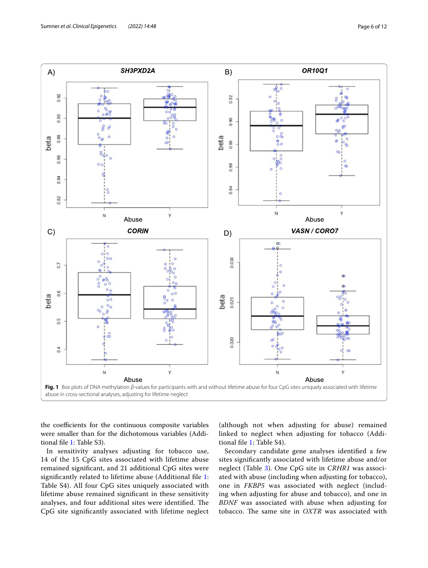

<span id="page-5-0"></span>the coefficients for the continuous composite variables were smaller than for the dichotomous variables (Additional fle [1](#page-8-0): Table S3).

In sensitivity analyses adjusting for tobacco use, 14 of the 15 CpG sites associated with lifetime abuse remained signifcant, and 21 additional CpG sites were signifcantly related to lifetime abuse (Additional fle [1](#page-8-0): Table S4). All four CpG sites uniquely associated with lifetime abuse remained signifcant in these sensitivity analyses, and four additional sites were identified. The CpG site signifcantly associated with lifetime neglect

(although not when adjusting for abuse) remained linked to neglect when adjusting for tobacco (Additional fle [1:](#page-8-0) Table S4).

Secondary candidate gene analyses identifed a few sites signifcantly associated with lifetime abuse and/or neglect (Table [3](#page-6-0)). One CpG site in *CRHR1* was associated with abuse (including when adjusting for tobacco), one in *FKBP5* was associated with neglect (including when adjusting for abuse and tobacco), and one in *BDNF* was associated with abuse when adjusting for tobacco. The same site in *OXTR* was associated with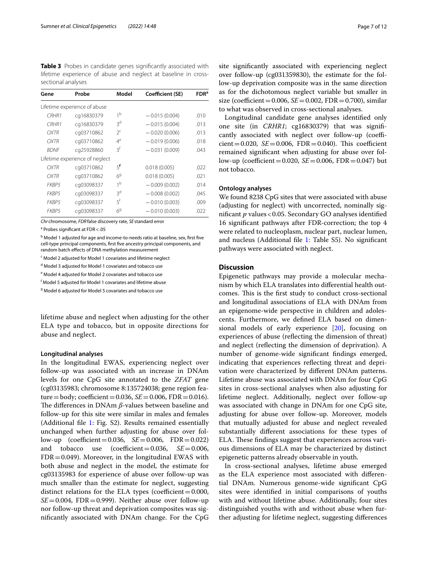<span id="page-6-0"></span>**Table 3** Probes in candidate genes signifcantly associated with lifetime experience of abuse and neglect at baseline in crosssectional analyses

| Gene              | Probe                          | Model          | Coefficient (SE) | <b>FDR</b> <sup>a</sup> |
|-------------------|--------------------------------|----------------|------------------|-------------------------|
|                   | Lifetime experience of abuse   |                |                  |                         |
| CRHR1             | cq16830379                     | 1 <sup>b</sup> | $-0.015(0.004)$  | .010                    |
| CRHR <sub>1</sub> | cq16830379                     | ξq             | $-0.015(0.004)$  | .013                    |
| OXTR              | cq03710862                     | $2^c$          | $-0.020(0.006)$  | .013                    |
| <b>OXTR</b>       | cq03710862                     | $4^e$          | $-0.019(0.006)$  | .018                    |
| <b>BDNF</b>       | cq25928860                     | ξf             | $-0.031(0.009)$  | .043                    |
|                   | Lifetime experience of neglect |                |                  |                         |
| <b>OXTR</b>       | cq03710862                     | 5 <sup>f</sup> | 0.018(0.005)     | .022                    |
| OXTR              | cq03710862                     | 6 <sup>9</sup> | 0.018(0.005)     | .021                    |
| FKBP5             | cq03098337                     | 1 <sup>b</sup> | $-0.009(0.002)$  | .014                    |
| FKBP5             | cq03098337                     | ξq             | $-0.008(0.002)$  | .045                    |
| FKBP5             | cq03098337                     | $5^{\dagger}$  | $-0.010(0.003)$  | .009                    |
| FKBP5             | cq03098337                     | 69             | $-0.010(0.003)$  | .022                    |
|                   |                                |                |                  |                         |

*Chr* chromosome, *FDR*false discovery rate, *SE* standard error

<sup>a</sup> Probes significant at FDR <.05

<sup>b</sup> Model 1 adjusted for age and income-to-needs ratio at baseline, sex, first five cell-type principal components, frst fve ancestry principal components, and random batch efects of DNA methylation measurement

<sup>c</sup> Model 2 adjusted for Model 1 covariates and lifetime neglect

<sup>d</sup> Model 3 adjusted for Model 1 covariates and tobacco use

<sup>e</sup> Model 4 adjusted for Model 2 covariates and tobacco use

<sup>f</sup> Model 5 adjusted for Model 1 covariates and lifetime abuse

<sup>g</sup> Model 6 adjusted for Model 5 covariates and tobacco use

lifetime abuse and neglect when adjusting for the other ELA type and tobacco, but in opposite directions for abuse and neglect.

#### **Longitudinal analyses**

In the longitudinal EWAS, experiencing neglect over follow-up was associated with an increase in DNAm levels for one CpG site annotated to the *ZFAT* gene (cg03135983; chromosome 8:135724038; gene region fea $ture = body$ ; coefficient = 0.036, *SE* = 0.006, FDR = 0.016). The differences in DNAm *β*-values between baseline and follow-up for this site were similar in males and females (Additional fle [1:](#page-8-0) Fig. S2). Results remained essentially unchanged when further adjusting for abuse over follow-up (coefficient=0.036,  $SE = 0.006$ ,  $FDR = 0.022$ )<br>and tobacco use (coefficient=0.036,  $SE = 0.006$ , and tobacco use (coefficient=0.036,  $FDR = 0.049$ ). Moreover, in the longitudinal EWAS with both abuse and neglect in the model, the estimate for cg03135983 for experience of abuse over follow-up was much smaller than the estimate for neglect, suggesting distinct relations for the ELA types (coefficient= $0.000$ ,  $SE = 0.004$ , FDR = 0.999). Neither abuse over follow-up nor follow-up threat and deprivation composites was signifcantly associated with DNAm change. For the CpG site signifcantly associated with experiencing neglect over follow-up (cg031359830), the estimate for the follow-up deprivation composite was in the same direction as for the dichotomous neglect variable but smaller in size (coefficient =  $0.006$ ,  $SE = 0.002$ , FDR =  $0.700$ ), similar to what was observed in cross-sectional analyses.

Longitudinal candidate gene analyses identifed only one site (in *CRHR1*; cg16830379) that was signifcantly associated with neglect over follow-up (coeffi $cient = 0.020$ ,  $SE = 0.006$ ,  $FDR = 0.040$ ). This coefficient remained signifcant when adjusting for abuse over follow-up (coefficient=0.020,  $SE = 0.006$ , FDR=0.047) but not tobacco.

#### **Ontology analyses**

We found 8238 CpG sites that were associated with abuse (adjusting for neglect) with uncorrected, nominally signifcant *p* values<0.05. Secondary GO analyses identifed 16 signifcant pathways after FDR-correction; the top 4 were related to nucleoplasm, nuclear part, nuclear lumen, and nucleus (Additional fle [1:](#page-8-0) Table S5). No signifcant pathways were associated with neglect.

#### **Discussion**

Epigenetic pathways may provide a molecular mechanism by which ELA translates into diferential health outcomes. This is the first study to conduct cross-sectional and longitudinal associations of ELA with DNAm from an epigenome-wide perspective in children and adolescents. Furthermore, we defned ELA based on dimensional models of early experience [\[20](#page-9-16)], focusing on experiences of abuse (refecting the dimension of threat) and neglect (refecting the dimension of deprivation). A number of genome-wide signifcant fndings emerged, indicating that experiences refecting threat and deprivation were characterized by diferent DNAm patterns. Lifetime abuse was associated with DNAm for four CpG sites in cross-sectional analyses when also adjusting for lifetime neglect. Additionally, neglect over follow-up was associated with change in DNAm for one CpG site, adjusting for abuse over follow-up. Moreover, models that mutually adjusted for abuse and neglect revealed substantially diferent associations for these types of ELA. These findings suggest that experiences across various dimensions of ELA may be characterized by distinct epigenetic patterns already observable in youth.

In cross-sectional analyses, lifetime abuse emerged as the ELA experience most associated with diferential DNAm. Numerous genome-wide signifcant CpG sites were identifed in initial comparisons of youths with and without lifetime abuse. Additionally, four sites distinguished youths with and without abuse when further adjusting for lifetime neglect, suggesting diferences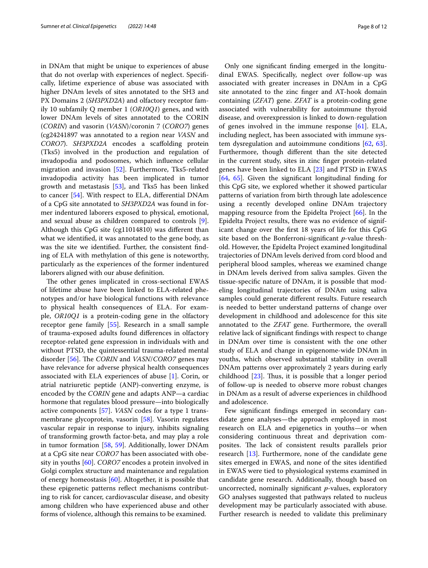in DNAm that might be unique to experiences of abuse that do not overlap with experiences of neglect. Specifcally, lifetime experience of abuse was associated with higher DNAm levels of sites annotated to the SH3 and PX Domains 2 (*SH3PXD2A*) and olfactory receptor family 10 subfamily Q member 1 (*OR10Q1*) genes, and with lower DNAm levels of sites annotated to the CORIN (*CORIN*) and vasorin (*VASN*)/coronin 7 (*CORO7*) genes (cg24241897 was annotated to a region near *VASN* and *CORO7*). *SH3PXD2A* encodes a scafolding protein (Tks5) involved in the production and regulation of invadopodia and podosomes, which infuence cellular migration and invasion [\[52\]](#page-10-20). Furthermore, Tks5-related invadopodia activity has been implicated in tumor growth and metastasis [[53\]](#page-10-21), and Tks5 has been linked to cancer [[54\]](#page-10-22). With respect to ELA, diferential DNAm of a CpG site annotated to *SH3PXD2A* was found in former indentured laborers exposed to physical, emotional, and sexual abuse as children compared to controls [\[9](#page-9-26)]. Although this CpG site (cg11014810) was diferent than what we identifed, it was annotated to the gene body, as was the site we identifed. Further, the consistent fnding of ELA with methylation of this gene is noteworthy, particularly as the experiences of the former indentured laborers aligned with our abuse defnition.

The other genes implicated in cross-sectional EWAS of lifetime abuse have been linked to ELA-related phenotypes and/or have biological functions with relevance to physical health consequences of ELA. For example, *OR10Q1* is a protein-coding gene in the olfactory receptor gene family [[55](#page-10-23)]. Research in a small sample of trauma-exposed adults found diferences in olfactory receptor-related gene expression in individuals with and without PTSD, the quintessential trauma-related mental disorder [[56\]](#page-10-24). The *CORIN* and *VASN*/*CORO7* genes may have relevance for adverse physical health consequences associated with ELA experiences of abuse [\[1](#page-9-0)]. Corin, or atrial natriuretic peptide (ANP)-converting enzyme, is encoded by the *CORIN* gene and adapts ANP—a cardiac hormone that regulates blood pressure—into biologically active components [[57\]](#page-10-25). *VASN* codes for a type 1 transmembrane glycoprotein, vasorin [\[58\]](#page-10-26). Vasorin regulates vascular repair in response to injury, inhibits signaling of transforming growth factor-beta, and may play a role in tumor formation [[58,](#page-10-26) [59\]](#page-10-27). Additionally, lower DNAm at a CpG site near *CORO7* has been associated with obesity in youths [\[60](#page-10-28)]. *CORO7* encodes a protein involved in Golgi complex structure and maintenance and regulation of energy homeostasis [\[60](#page-10-28)]. Altogether, it is possible that these epigenetic patterns refect mechanisms contributing to risk for cancer, cardiovascular disease, and obesity among children who have experienced abuse and other forms of violence, although this remains to be examined.

Only one signifcant fnding emerged in the longitudinal EWAS. Specifcally, neglect over follow-up was associated with greater increases in DNAm in a CpG site annotated to the zinc fnger and AT-hook domain containing (*ZFAT*) gene. *ZFAT* is a protein-coding gene associated with vulnerability for autoimmune thyroid disease, and overexpression is linked to down-regulation of genes involved in the immune response  $[61]$  $[61]$ . ELA, including neglect, has been associated with immune system dysregulation and autoimmune conditions [[62,](#page-10-30) [63](#page-10-31)]. Furthermore, though diferent than the site detected in the current study, sites in zinc fnger protein-related genes have been linked to ELA [\[23\]](#page-9-17) and PTSD in EWAS [[64,](#page-10-32) [65\]](#page-10-33). Given the signifcant longitudinal fnding for this CpG site, we explored whether it showed particular patterns of variation from birth through late adolescence using a recently developed online DNAm trajectory mapping resource from the Epidelta Project [[66\]](#page-10-34). In the Epidelta Project results, there was no evidence of significant change over the frst 18 years of life for this CpG site based on the Bonferroni-signifcant *p*-value threshold. However, the Epidelta Project examined longitudinal trajectories of DNAm levels derived from cord blood and peripheral blood samples, whereas we examined change in DNAm levels derived from saliva samples. Given the tissue-specifc nature of DNAm, it is possible that modeling longitudinal trajectories of DNAm using saliva samples could generate diferent results. Future research is needed to better understand patterns of change over development in childhood and adolescence for this site annotated to the *ZFAT* gene. Furthermore, the overall relative lack of signifcant fndings with respect to change in DNAm over time is consistent with the one other study of ELA and change in epigenome-wide DNAm in youths, which observed substantial stability in overall DNAm patterns over approximately 2 years during early childhood  $[23]$ . Thus, it is possible that a longer period of follow-up is needed to observe more robust changes in DNAm as a result of adverse experiences in childhood and adolescence.

Few signifcant fndings emerged in secondary candidate gene analyses—the approach employed in most research on ELA and epigenetics in youths—or when considering continuous threat and deprivation composites. The lack of consistent results parallels prior research [\[13\]](#page-9-7). Furthermore, none of the candidate gene sites emerged in EWAS, and none of the sites identifed in EWAS were tied to physiological systems examined in candidate gene research. Additionally, though based on uncorrected, nominally signifcant *p*-values, exploratory GO analyses suggested that pathways related to nucleus development may be particularly associated with abuse. Further research is needed to validate this preliminary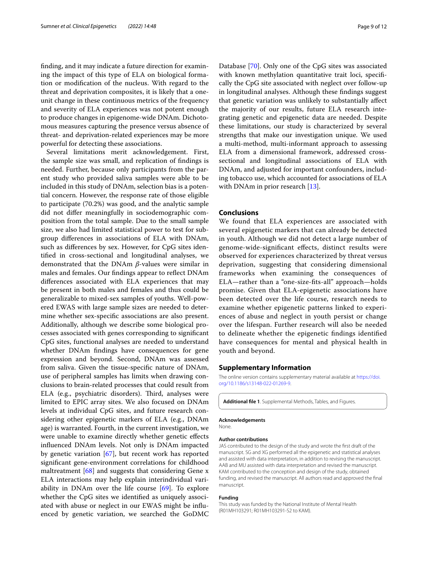fnding, and it may indicate a future direction for examining the impact of this type of ELA on biological formation or modifcation of the nucleus. With regard to the threat and deprivation composites, it is likely that a oneunit change in these continuous metrics of the frequency and severity of ELA experiences was not potent enough to produce changes in epigenome-wide DNAm. Dichotomous measures capturing the presence versus absence of threat- and deprivation-related experiences may be more powerful for detecting these associations.

Several limitations merit acknowledgement. First, the sample size was small, and replication of fndings is needed. Further, because only participants from the parent study who provided saliva samples were able to be included in this study of DNAm, selection bias is a potential concern. However, the response rate of those eligible to participate (70.2%) was good, and the analytic sample did not difer meaningfully in sociodemographic composition from the total sample. Due to the small sample size, we also had limited statistical power to test for subgroup diferences in associations of ELA with DNAm, such as diferences by sex. However, for CpG sites identifed in cross-sectional and longitudinal analyses, we demonstrated that the DNAm *β*-values were similar in males and females. Our fndings appear to refect DNAm diferences associated with ELA experiences that may be present in both males and females and thus could be generalizable to mixed-sex samples of youths. Well-powered EWAS with large sample sizes are needed to determine whether sex-specifc associations are also present. Additionally, although we describe some biological processes associated with genes corresponding to signifcant CpG sites, functional analyses are needed to understand whether DNAm fndings have consequences for gene expression and beyond. Second, DNAm was assessed from saliva. Given the tissue-specifc nature of DNAm, use of peripheral samples has limits when drawing conclusions to brain-related processes that could result from ELA (e.g., psychiatric disorders). Third, analyses were limited to EPIC array sites. We also focused on DNAm levels at individual CpG sites, and future research considering other epigenetic markers of ELA (e.g., DNAm age) is warranted. Fourth, in the current investigation, we were unable to examine directly whether genetic efects infuenced DNAm levels. Not only is DNAm impacted by genetic variation [[67\]](#page-10-35), but recent work has reported signifcant gene-environment correlations for childhood maltreatment [[68\]](#page-11-0) and suggests that considering Gene x ELA interactions may help explain interindividual variability in DNAm over the life course [\[69](#page-11-1)]. To explore whether the CpG sites we identifed as uniquely associated with abuse or neglect in our EWAS might be infuenced by genetic variation, we searched the GoDMC Database [\[70](#page-11-2)]. Only one of the CpG sites was associated with known methylation quantitative trait loci, specifically the CpG site associated with neglect over follow-up in longitudinal analyses. Although these fndings suggest that genetic variation was unlikely to substantially afect the majority of our results, future ELA research integrating genetic and epigenetic data are needed. Despite these limitations, our study is characterized by several strengths that make our investigation unique. We used a multi-method, multi-informant approach to assessing ELA from a dimensional framework, addressed crosssectional and longitudinal associations of ELA with DNAm, and adjusted for important confounders, including tobacco use, which accounted for associations of ELA with DNAm in prior research [[13\]](#page-9-7).

#### **Conclusions**

We found that ELA experiences are associated with several epigenetic markers that can already be detected in youth. Although we did not detect a large number of genome-wide-signifcant efects, distinct results were observed for experiences characterized by threat versus deprivation, suggesting that considering dimensional frameworks when examining the consequences of ELA—rather than a "one-size-fts-all" approach—holds promise. Given that ELA-epigenetic associations have been detected over the life course, research needs to examine whether epigenetic patterns linked to experiences of abuse and neglect in youth persist or change over the lifespan. Further research will also be needed to delineate whether the epigenetic fndings identifed have consequences for mental and physical health in youth and beyond.

#### **Supplementary Information**

The online version contains supplementary material available at [https://doi.](https://doi.org/10.1186/s13148-022-01269-9) [org/10.1186/s13148-022-01269-9](https://doi.org/10.1186/s13148-022-01269-9).

<span id="page-8-0"></span>**Additional fle 1**. Supplemental Methods, Tables, and Figures.

#### **Acknowledgements**

None.

#### **Author contributions**

JAS contributed to the design of the study and wrote the frst draft of the manuscript. SG and XG performed all the epigenetic and statistical analyses and assisted with data interpretation, in addition to revising the manuscript. AAB and MU assisted with data interpretation and revised the manuscript. KAM contributed to the conception and design of the study, obtained funding, and revised the manuscript. All authors read and approved the fnal manuscript.

#### **Funding**

This study was funded by the National Institute of Mental Health (R01MH103291; R01MH103291-S2 to KAM).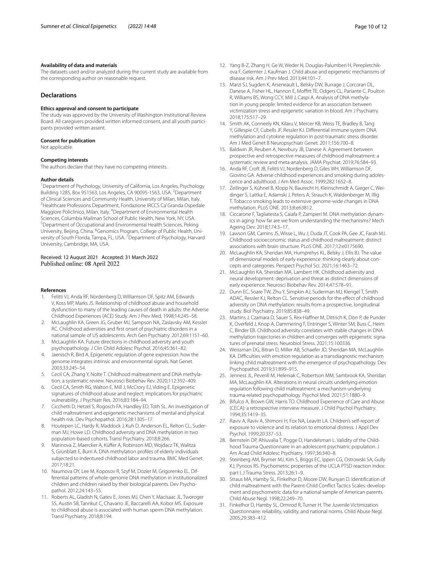#### **Availability of data and materials**

The datasets used and/or analyzed during the current study are available from the corresponding author on reasonable request.

#### **Declarations**

#### **Ethics approval and consent to participate**

The study was approved by the University of Washington Institutional Review Board. All caregivers provided written informed consent, and all youth participants provided written assent.

#### **Consent for publication**

Not applicable.

#### **Competing interests**

The authors declare that they have no competing interests.

#### **Author details**

<sup>1</sup> Department of Psychology, University of California, Los Angeles, Psychology Building 1285, Box 951563, Los Angeles, CA 90095-1563, USA. <sup>2</sup>Department of Clinical Sciences and Community Health, University of Milan, Milan, Italy. 3 <sup>3</sup> Healthcare Professions Department, Fondazione IRCCS Ca' Granda Ospedale Maggiore Policlinico, Milan, Italy. <sup>4</sup> Department of Environmental Health Sciences, Columbia Mailman School of Public Health, New York, NY, USA. Department of Occupational and Environmental Health Sciences, Peking University, Beijing, China. <sup>6</sup>Genomics Program, College of Public Health, University of South Florida, Tampa, FL, USA. <sup>7</sup> Department of Psychology, Harvard University, Cambridge, MA, USA.

#### Received: 12 August 2021 Accepted: 31 March 2022 Published online: 08 April 2022

#### **References**

- <span id="page-9-0"></span>1. Felitti VJ, Anda RF, Nordenberg D, Williamson DF, Spitz AM, Edwards V, Koss MP, Marks JS. Relationship of childhood abuse and household dysfunction to many of the leading causes of death in adults: the Adverse Childhood Experiences (ACE) Study. Am J Prev Med. 1998;14:245–58.
- <span id="page-9-1"></span>2. McLaughlin KA, Green JG, Gruber MJ, Sampson NA, Zaslavsky AM, Kessler RC. Childhood adversities and frst onset of psychiatric disorders in a national sample of US adolescents. Arch Gen Psychiatry. 2012;69:1151–60.
- <span id="page-9-2"></span>3. McLaughlin KA. Future directions in childhood adversity and youth psychopathology. J Clin Child Adolesc Psychol. 2016;45:361–82.
- <span id="page-9-3"></span>4. Jaenisch R, Bird A. Epigenetic regulation of gene expression: how the genome integrates intrinsic and environmental signals. Nat Genet. 2003;33:245–54.
- <span id="page-9-4"></span>5. Cecil CA, Zhang Y, Nolte T. Childhood maltreatment and DNA methylation: a systematic review. Neurosci Biobehav Rev. 2020;112:392–409.
- <span id="page-9-5"></span>6. Cecil CA, Smith RG, Walton E, Mill J, McCrory EJ, Viding E. Epigenetic signatures of childhood abuse and neglect: implications for psychiatric vulnerability. J Psychiatr Res. 2016;83:184–94.
- 7. Cicchetti D, Hetzel S, Rogosch FA, Handley ED, Toth SL. An investigation of child maltreatment and epigenetic mechanisms of mental and physical health risk. Dev Psychopathol. 2016;28:1305–17.
- 8. Houtepen LC, Hardy R, Maddock J, Kuh D, Anderson EL, Relton CL, Suderman MJ, Howe LD. Childhood adversity and DNA methylation in two population-based cohorts. Transl Psychiatry. 2018;8:266.
- <span id="page-9-26"></span>9. Marinova Z, Maercker A, Küfer A, Robinson MD, Wojdacz TK, Walitza S, Grünblatt E, Burri A. DNA methylation profles of elderly individuals subjected to indentured childhood labor and trauma. BMC Med Genet. 2017;18:21.
- 10. Naumova OY, Lee M, Koposov R, Szyf M, Dozier M, Grigorenko EL. Differential patterns of whole-genome DNA methylation in institutionalized children and children raised by their biological parents. Dev Psychopathol. 2012;24:143–55.
- 11. Roberts AL, Gladish N, Gatev E, Jones MJ, Chen Y, MacIsaac JL, Tworoger SS, Austin SB, Tanrikut C, Chavarro JE, Baccarelli AA, Kobor MS. Exposure to childhood abuse is associated with human sperm DNA methylation. Transl Psychiatry. 2018;8:194.
- <span id="page-9-6"></span>12. Yang B-Z, Zhang H, Ge W, Weder N, Douglas-Palumberi H, Perepletchik-
- ova F, Gelernter J, Kaufman J. Child abuse and epigenetic mechanisms of disease risk. Am J Prev Med. 2013;44:101–7. 13. Marzi SJ, Sugden K, Arseneault L, Belsky DW, Burrage J, Corcoran DL, Danese A, Fisher HL, Hannon E, Moffitt TE, Odgers CL, Pariante C, Poulton
- <span id="page-9-7"></span>R, Williams BS, Wong CCY, Mill J, Caspi A. Analysis of DNA methylation in young people: limited evidence for an association between victimization stress and epigenetic variation in blood. Am J Psychiatry. 2018;175:517–29.
- <span id="page-9-8"></span>14. Smith AK, Conneely KN, Kilaru V, Mercer KB, Weiss TE, Bradley B, Tang Y, Gillespie CF, Cubells JF, Ressler KJ. Diferential immune system DNA methylation and cytokine regulation in post-traumatic stress disorder. Am J Med Genet B Neuropsychiatr Genet. 2011;156:700–8.
- <span id="page-9-9"></span>15. Baldwin JR, Reuben A, Newbury JB, Danese A. Agreement between prospective and retrospective measures of childhood maltreatment: a systematic review and meta-analysis. JAMA Psychiat. 2019;76:584–93.
- <span id="page-9-10"></span>16. Anda RF, Croft JB, Felitti VJ, Nordenberg D, Giles WH, Williamson DF, Giovino GA. Adverse childhood experiences and smoking during adolescence and adulthood. J Am Med Assoc. 1999;282:1652–8.
- <span id="page-9-11"></span>17. Zeilinger S, Kühnel B, Klopp N, Baurecht H, Kleinschmidt A, Gieger C, Weidinger S, Lattka E, Adamski J, Peters A, Strauch K, Waldenberger M, Illig T. Tobacco smoking leads to extensive genome-wide changes in DNA methylation. PLoS ONE. 2013;8:e63812.
- <span id="page-9-12"></span>18. Ciccarone F, Tagliatesta S, Caiafa P, Zampieri M. DNA methylation dynamics in aging: how far are we from understanding the mechanisms? Mech Ageing Dev. 2018;174:3–17.
- <span id="page-9-13"></span>19. Lawson GM, Camins JS, Wisse L, Wu J, Duda JT, Cook PA, Gee JC, Farah MJ. Childhood socioeconomic status and childhood maltreatment: distinct associations with brain structure. PLoS ONE. 2017;12:e0175690.
- <span id="page-9-16"></span>20. McLaughlin KA, Sheridan MA, Humprehys KL, Belsky J, Ellis BJ. The value of dimensional models of early experience: thinking clearly about concepts and categories. Perspect Psychol Sci. 2021;16:1463–72.
- <span id="page-9-14"></span>21. McLaughlin KA, Sheridan MA, Lambert HK. Childhood adversity and neural development: deprivation and threat as distinct dimensions of early experience. Neurosci Biobehav Rev. 2014;47:578–91.
- <span id="page-9-15"></span>22. Dunn EC, Soare TW, Zhu Y, Simpkin AJ, Suderman MJ, Klengel T, Smith ADAC, Ressler KJ, Relton CL. Sensitive periods for the effect of childhood adversity on DNA methylation: results from a prospective, longitudinal study. Biol Psychiatry. 2019;85:838–49.
- <span id="page-9-17"></span>23. Martins J, Czamara D, Sauer S, Rex-Haffner M, Dittrich K, Dörr P, de Punder K, Overfeld J, Knop A, Dammering F, Entringer S, Winter SM, Buss C, Heim C, Binder EB. Childhood adversity correlates with stable changes in DNA methylation trajectories in children and converges with epigenetic signatures of prenatal stress. Neurobiol Stress. 2021;15:100336.
- <span id="page-9-18"></span>24. Weissman DG, Bitran D, Miller AB, Schaefer JD, Sheridan MA, McLaughlin KA. Difculties with emotion regulation as a transdiagnostic mechanism linking child maltreatment with the emergence of psychopathology. Dev Psychopathol. 2019;31:899–915.
- <span id="page-9-19"></span>25. Jenness JL, Peverill M, Heleniak C, Robertson MM, Sambrook KA, Sheridan MA, McLaughlin KA. Alterations in neural circuits underlying emotion regulation following child maltreatment: a mechanism underlying trauma-related psychopathology. Psychol Med. 2021;51:1880–9.
- <span id="page-9-20"></span>26. Bifulco A, Brown GW, Harris TO. Childhood Experience of Care and Abuse (CECA): a retrospective interview measure. J Child Psychol Psychiatry. 1994;35:1419–35.
- <span id="page-9-21"></span>27. Raviv A, Raviv A, Shimoni H, Fox NA, Leavitt LA. Children's self-report of exposure to violence and its relation to emotional distress. J Appl Dev Psychol. 1999;20:337–53.
- <span id="page-9-22"></span>28. Bernstein DP, Ahluvalia T, Pogge D, Handelsman L. Validity of the Childhood Trauma Questionnaire in an adolescent psychiatric population. J Am Acad Child Adolesc Psychiatry. 1997;36:340–8.
- <span id="page-9-23"></span>29. Steinberg AM, Brymer MJ, Kim S, Briggs EC, Ippen CG, Ostrowski SA, Gully KJ, Pynoos RS. Psychometric properties of the UCLA PTSD reaction index: part I. J Trauma Stress. 2013;26:1–9.
- <span id="page-9-24"></span>30. Straus MA, Hamby SL, Finkelhor D, Moore DW, Runyan D. Identifcation of child maltreatment with the Parent-Child Confict Tactics Scales: development and psychometric data for a national sample of American parents. Child Abuse Negl. 1998;22:249–70.
- <span id="page-9-25"></span>31. Finkelhor D, Hamby SL, Ormrod R, Turner H. The Juvenile Victimization Questionnaire: reliability, validity, and national norms. Child Abuse Negl. 2005;29:383–412.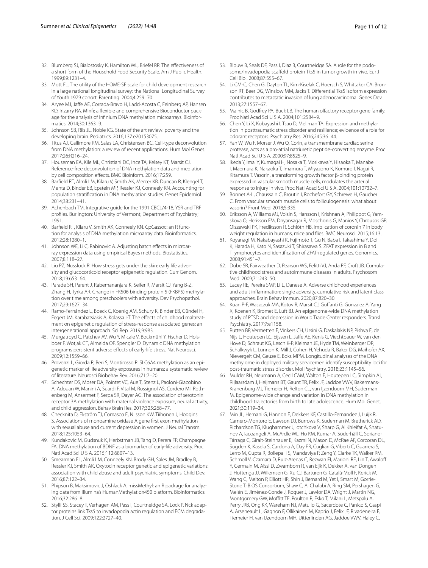- <span id="page-10-0"></span>32. Blumberg SJ, Bialostosky K, Hamilton WL, Briefel RR. The effectiveness of a short form of the Household Food Security Scale. Am J Public Health. 1999;89:1231–4.
- <span id="page-10-1"></span>33. Mott FL. The utility of the HOME-SF scale for child development research in a large national longitudinal survey: the National Longitudinal Survey of Youth 1979 cohort. Parenting. 2004;4:259–70.
- <span id="page-10-2"></span>34. Aryee MJ, Jaffe AE, Corrada-Bravo H, Ladd-Acosta C, Feinberg AP, Hansen KD, Irizarry RA. Minf: a fexible and comprehensive Bioconductor package for the analysis of Infnium DNA methylation microarrays. Bioinformatics. 2014;30:1363–9.
- <span id="page-10-3"></span>35. Johnson SB, Riis JL, Noble KG. State of the art review: poverty and the developing brain. Pediatrics. 2016;137:e20153075.
- <span id="page-10-4"></span>36. Titus AJ, Gallimore RM, Salas LA, Christensen BC. Cell-type deconvolution from DNA methylation: a review of recent applications. Hum Mol Genet. 2017;26:R216–24.
- <span id="page-10-5"></span>37. Houseman EA, Kile ML, Christiani DC, Ince TA, Kelsey KT, Marsit CJ. Reference-free deconvolution of DNA methylation data and mediation by cell composition efects. BMC Bioinform. 2016;17:259.
- <span id="page-10-6"></span>38. Barfeld RT, Almli LM, Kilaru V, Smith AK, Mercer KB, Duncan R, Klengel T, Mehta D, Binder EB, Epstein MP, Ressler KJ, Conneely KN. Accounting for population stratifcation in DNA methylation studies. Genet Epidemiol. 2014;38:231–41.
- <span id="page-10-7"></span>39. Achenbach TM. Integrative guide for the 1991 CBCL/4-18, YSR and TRF profles. Burlington: University of Vermont, Department of Psychiatry; 1991.
- <span id="page-10-8"></span>40. Barfeld RT, Kilaru V, Smith AK, Conneely KN. CpGassoc: an R function for analysis of DNA methylation microarray data. Bioinformatics. 2012;28:1280–1.
- <span id="page-10-9"></span>41. Johnson WE, Li C, Rabinovic A. Adjusting batch effects in microarray expression data using empirical Bayes methods. Biostatistics. 2007;8:118–27.
- <span id="page-10-10"></span>42. Liu PZ, Nusslock R. How stress gets under the skin: early life adversity and glucocorticoid receptor epigenetic regulation. Curr Genom. 2018;19:653–64.
- <span id="page-10-11"></span>43. Parade SH, Parent J, Rabemananjara K, Seifer R, Marsit CJ, Yang B-Z, Zhang H, Tyrka AR. Change in FK506 binding protein 5 (FKBP5) methylation over time among preschoolers with adversity. Dev Psychopathol. 2017;29:1627–34.
- <span id="page-10-12"></span>44. Ramo-Fernández L, Boeck C, Koenig AM, Schury K, Binder EB, Gündel H, Fegert JM, Karabatsiakis A, Kolassa I-T. The effects of childhood maltreatment on epigenetic regulation of stress-response associated genes: an intergenerational approach. Sci Rep. 2019;9:983.
- <span id="page-10-13"></span>45. Murgatroyd C, Patchev AV, Wu Y, Micale V, Bockmühl Y, Fischer D, Holsboer F, Wotjak CT, Almeida OF, Spengler D. Dynamic DNA methylation programs persistent adverse effects of early-life stress. Nat Neurosci. 2009;12:1559–66.
- <span id="page-10-14"></span>46. Provenzi L, Giorda R, Beri S, Montirosso R. SLC6A4 methylation as an epigenetic marker of life adversity exposures in humans: a systematic review of literature. Neurosci Biobehav Rev. 2016;71:7–20.
- <span id="page-10-15"></span>47. Schechter DS, Moser DA, Pointet VC, Aue T, Stenz L, Paoloni-Giacobino A, Adouan W, Manini A, Suardi F, Vital M, Rossignol AS, Cordero MI, Rothenberg M, Ansermet F, Serpa SR, Dayer AG. The association of serotonin receptor 3A methylation with maternal violence exposure, neural activity, and child aggression. Behav Brain Res. 2017;325:268–77.
- <span id="page-10-16"></span>48. Checknita D, Ekström TJ, Comasco E, Nilsson KW, Tiihonen J, Hodgins S. Associations of monoamine oxidase A gene frst exon methylation with sexual abuse and current depression in women. J Neural Transm. 2018;125:1053–64.
- <span id="page-10-17"></span>49. Kundakovic M, Gudsnuk K, Herbstman JB, Tang D, Perera FP, Champagne FA. DNA methylation of BDNF as a biomarker of early-life adversity. Proc Natl Acad Sci U S A. 2015;112:6807–13.
- <span id="page-10-18"></span>50. Smearman EL, Almli LM, Conneely KN, Brody GH, Sales JM, Bradley B, Ressler KJ, Smith AK. Oxytocin receptor genetic and epigenetic variations: association with child abuse and adult psychiatric symptoms. Child Dev. 2016;87:122–34.
- <span id="page-10-19"></span>51. Phipson B, Maksimovic J, Oshlack A. missMethyl: an R package for analyzing data from Illumina's HumanMethylation450 platform. Bioinformatics. 2016;32:286–8.
- <span id="page-10-20"></span>52. Stylli SS, Stacey T, Verhagen AM, Pass I, Courtneidge SA, Lock P. Nck adaptor proteins link Tks5 to invadopodia actin regulation and ECM degradation. J Cell Sci. 2009;122:2727–40.
- <span id="page-10-21"></span>53. Blouw B, Seals DF, Pass I, Diaz B, Courtneidge SA. A role for the podosome/invadopodia scaffold protein Tks5 in tumor growth in vivo. Eur J Cell Biol. 2008;87:555–67.
- <span id="page-10-22"></span>54. Li CM-C, Chen G, Dayton TL, Kim-Kiselak C, Hoersch S, Whittaker CA, Bronson RT, Beer DG, Winslow MM, Jacks T. Diferential Tks5 isoform expression contributes to metastatic invasion of lung adenocarcinoma. Genes Dev. 2013;27:1557–67.
- <span id="page-10-23"></span>55. Malnic B, Godfrey PA, Buck LB. The human olfactory receptor gene family. Proc Natl Acad Sci U S A. 2004;101:2584–9.
- <span id="page-10-24"></span>56. Chen Y, Li X, Kobayashi I, Tsao D, Mellman TA. Expression and methylation in posttraumatic stress disorder and resilience; evidence of a role for odorant receptors. Psychiatry Res. 2016;245:36–44.
- <span id="page-10-25"></span>57. Yan W, Wu F, Morser J, Wu Q. Corin, a transmembrane cardiac serine protease, acts as a pro-atrial natriuretic peptide-converting enzyme. Proc Natl Acad Sci U S A. 2000;97:8525–9.
- <span id="page-10-26"></span>58. Ikeda Y, Imai Y, Kumagai H, Nosaka T, Morikawa Y, Hisaoka T, Manabe I, Maemura K, Nakaoka T, Imamura T, Miyazono K, Komuro I, Nagai R, Kitamura T. Vasorin, a transforming growth factor β-binding protein expressed in vascular smooth muscle cells, modulates the arterial response to injury in vivo. Proc Natl Acad Sci U S A. 2004;101:10732–7.
- <span id="page-10-27"></span>59. Bonnet A-L, Chaussain C, Broutin I, Rochefort GY, Schrewe H, Gaucher C. From vascular smooth muscle cells to folliculogenesis: what about vasorin? Front Med. 2018;5:335.
- <span id="page-10-28"></span>60. Eriksson A, Williams MJ, Voisin S, Hansson I, Krishnan A, Philippot G, Yamskova O, Herisson FM, Dnyansagar R, Moschonis G, Manios Y, Chrousos GP, Olszewski PK, Frediksson R, Schiöth HB. Implication of coronin 7 in body weight regulation in humans, mice and fies. BMC Neurosci. 2015;16:13.
- <span id="page-10-29"></span>61. Koyanagi M, Nakabayashi K, Fujimoto T, Gu N, Baba I, Takashima Y, Doi K, Harada H, Kato N, Sasazuki T, Shirasawa S. ZFAT expression in B and T lymphocytes and identifcation of ZFAT-regulated genes. Genomics. 2008;91:451–7.
- <span id="page-10-30"></span>62. Dube SR, Fairweather D, Pearson WS, Felitti VJ, Anda RF, Croft JB. Cumulative childhood stress and autoimmune diseases in adults. Psychosom Med. 2009;71:243–50.
- <span id="page-10-31"></span>63. Lacey RE, Pereira SMP, Li L, Danese A. Adverse childhood experiences and adult infammation: single adversity, cumulative risk and latent class approaches. Brain Behav Immun. 2020;87:820–30.
- <span id="page-10-32"></span>64. Kuan P-F, Waszczuk MA, Kotov R, Marsit CJ, Gufanti G, Gonzalez A, Yang X, Koenen K, Bromet E, Luft BJ. An epigenome-wide DNA methylation study of PTSD and depression in World Trade Center responders. Transl Psychiatry. 2017;7:e1158.
- <span id="page-10-33"></span>65. Rutten BP, Vermetten E, Vinkers CH, Ursini G, Daskalakis NP, Pishva E, de Nijs L, Houtepen LC, Eijssen L, Jaffe AE, Kenis G, Viechtbauer W, van den Hove D, Schraut KG, Lesch K-P, Kleiman JE, Hyde TM, Weinberger DR, Schalkwyk L, Lunnon K, Mill J, Cohen H, Yehuda R, Baker DG, Maihofer AX, Nievergelt CM, Geuze E, Boks MPM. Longitudinal analyses of the DNA methylome in deployed military servicemen identify susceptibility loci for post-traumatic stress disorder. Mol Psychiatry. 2018;23:1145–56.
- <span id="page-10-34"></span>66. Mulder RH, Neumann A, Cecil CAM, Walton E, Houtepen LC, Simpkin AJ, Rijlaarsdam J, Heijmans BT, Gaunt TR, Felix JF, Jaddoe VWV, Bakermans-Kranenburg MJ, Tiemeier H, Relton CL, van Ijzendoorn MH, Suderman M. Epigenome-wide change and variation in DNA methylation in childhood: trajectories from birth to late adolescence. Hum Mol Genet. 2021;30:119–34.
- <span id="page-10-35"></span>67. Min JL, Hemani G, Hannon E, Dekkers KF, Castillo-Fernandez J, Luijk R, Carnero-Montoro E, Lawson DJ, Burrows K, Suderman M, Bretherick AD, Richardson TG, Klughammer J, Iotchkova V, Sharp G, Al Khleifat A, Shatunov A, Iacoangeli A, McArdle WL, Ho KM, Kumar A, Söderhäll C, Soriano-Tárraga C, Giralt-Steinhauer E, Kazmi N, Mason D, McRae AF, Corcoran DL, Sugden K, Kasela S, Cardona A, Day FR, Cugliari G, Viberti C, Guarrera S, Lerro M, Gupta R, Bollepalli S, Mandaviya P, Zeng Y, Clarke TK, Walker RM, Schmoll V, Czamara D, Ruiz-Arenas C, Rezwan FI, Marioni RE, Lin T, Awalof Y, Germain M, Aïssi D, Zwamborn R, van Eijk K, Dekker A, van Dongen J, Hottenga JJ, Willemsen G, Xu CJ, Barturen G, Català-Moll F, Kerick M, Wang C, Melton P, Elliott HR, Shin J, Bernard M, Yet I, Smart M, Gorrie-Stone T; BIOS Consortium, Shaw C, Al Chalabi A, Ring SM, Pershagen G, Melén E, Jiménez-Conde J, Roquer J, Lawlor DA, Wright J, Martin NG, Montgomery GW, Moftt TE, Poulton R, Esko T, Milani L, Metspalu A, Perry JRB, Ong KK, Wareham NJ, Matullo G, Sacerdote C, Panico S, Caspi A, Arseneault L, Gagnon F, Ollikainen M, Kaprio J, Felix JF, Rivadeneira F, Tiemeier H, van IJzendoorn MH, Uitterlinden AG, Jaddoe VWV, Haley C,